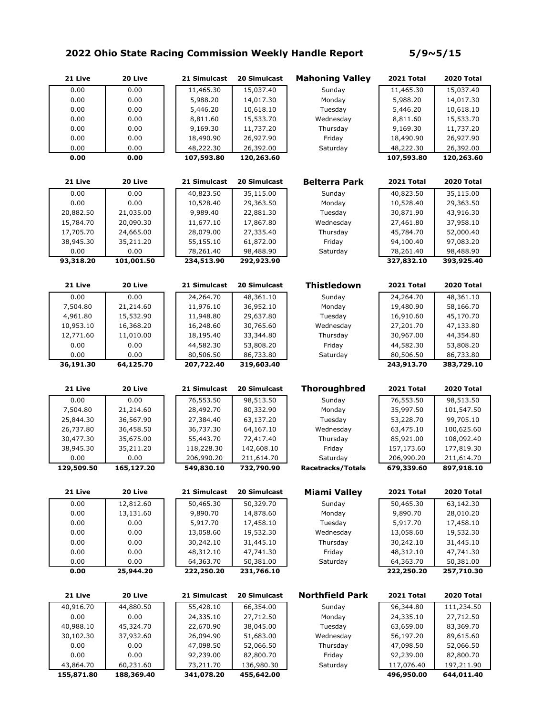## **2022 Ohio State Racing Commission Weekly Handle Report 5/9~5/15**

| 0.00<br>11,465.30<br>0.00<br>15,037.40<br>11,465.30<br>15,037.40<br>Sunday<br>0.00<br>0.00<br>5,988.20<br>5,988.20<br>14,017.30<br>Monday<br>14,017.30<br>0.00<br>0.00<br>5,446.20<br>10,618.10<br>Tuesday<br>5,446.20<br>10,618.10<br>0.00<br>15,533.70<br>0.00<br>8,811.60<br>15,533.70<br>Wednesday<br>8,811.60<br>0.00<br>0.00<br>9,169.30<br>11,737.20<br>Thursday<br>9,169.30<br>11,737.20<br>0.00<br>0.00<br>18,490.90<br>26,927.90<br>Friday<br>18,490.90<br>26,927.90<br>0.00<br>48,222.30<br>48,222.30<br>0.00<br>26,392.00<br>Saturday<br>26,392.00<br>0.00<br>0.00<br>107,593.80<br>107,593.80<br>120,263.60<br>120,263.60<br><b>Belterra Park</b><br>2021 Total<br>21 Live<br>20 Live<br>21 Simulcast<br>20 Simulcast<br>2020 Total<br>0.00<br>0.00<br>40,823.50<br>35,115.00<br>Sunday<br>40,823.50<br>35,115.00<br>0.00<br>0.00<br>10,528.40<br>29,363.50<br>Monday<br>10,528.40<br>29,363.50<br>20,882.50<br>21,035.00<br>9,989.40<br>22,881.30<br>Tuesday<br>30,871.90<br>43,916.30<br>15,784.70<br>20,090.30<br>11,677.10<br>17,867.80<br>Wednesday<br>27,461.80<br>37,958.10<br>17,705.70<br>24,665.00<br>28,079.00<br>27,335.40<br>Thursday<br>45,784.70<br>52,000.40<br>38,945.30<br>55,155.10<br>35,211.20<br>61,872.00<br>Friday<br>94,100.40<br>97,083.20<br>0.00<br>0.00<br>78,261.40<br>98,488.90<br>Saturday<br>78,261.40<br>98,488.90<br>93,318.20<br>101,001.50<br>234,513.90<br>292,923.90<br>327,832.10<br>393,925.40<br>21 Live<br>20 Live<br><b>Thistledown</b><br>2020 Total<br>21 Simulcast<br>20 Simulcast<br>2021 Total<br>0.00<br>0.00<br>24,264.70<br>48,361.10<br>24,264.70<br>48,361.10<br>Sunday<br>7,504.80<br>11,976.10<br>36,952.10<br>21,214.60<br>Monday<br>19,480.90<br>58,166.70<br>4,961.80<br>15,532.90<br>11,948.80<br>29,637.80<br>Tuesday<br>16,910.60<br>45,170.70<br>27,201.70<br>10,953.10<br>16,368.20<br>16,248.60<br>30,765.60<br>Wednesday<br>47,133.80<br>12,771.60<br>11,010.00<br>18,195.40<br>Thursday<br>30,967.00<br>44,354.80<br>33,344.80<br>0.00<br>44,582.30<br>0.00<br>53,808.20<br>Friday<br>44,582.30<br>53,808.20<br>0.00<br>0.00<br>80,506.50<br>86,733.80<br>Saturday<br>80,506.50<br>86,733.80<br>36,191.30<br>64,125.70<br>207,722.40<br>319,603.40<br>243,913.70<br>383,729.10<br>21 Live<br><b>Thoroughbred</b><br>2021 Total<br>20 Live<br>21 Simulcast<br>20 Simulcast<br>2020 Total<br>0.00<br>0.00<br>76,553.50<br>98,513.50<br>Sunday<br>76,553.50<br>98,513.50<br>7,504.80<br>21,214.60<br>28,492.70<br>80,332.90<br>35,997.50<br>Monday<br>101,547.50<br>27,384.40<br>63,137.20<br>Tuesday<br>53,228.70<br>99,705.10<br>25,844.30<br>36,567.90<br>26,737.80<br>36,458.50<br>36,737.30<br>64,167.10<br>Wednesday<br>63,475.10<br>100,625.60<br>30,477.30<br>35,675.00<br>55,443.70<br>72,417.40<br>Thursday<br>85,921.00<br>108,092.40<br>38,945.30<br>35,211.20<br>118,228.30<br>142,608.10<br>Friday<br>157,173.60<br>177,819.30<br>0.00<br>0.00<br>206,990.20<br>211,614.70<br>Saturday<br>206,990.20<br>211,614.70 |                   |
|---------------------------------------------------------------------------------------------------------------------------------------------------------------------------------------------------------------------------------------------------------------------------------------------------------------------------------------------------------------------------------------------------------------------------------------------------------------------------------------------------------------------------------------------------------------------------------------------------------------------------------------------------------------------------------------------------------------------------------------------------------------------------------------------------------------------------------------------------------------------------------------------------------------------------------------------------------------------------------------------------------------------------------------------------------------------------------------------------------------------------------------------------------------------------------------------------------------------------------------------------------------------------------------------------------------------------------------------------------------------------------------------------------------------------------------------------------------------------------------------------------------------------------------------------------------------------------------------------------------------------------------------------------------------------------------------------------------------------------------------------------------------------------------------------------------------------------------------------------------------------------------------------------------------------------------------------------------------------------------------------------------------------------------------------------------------------------------------------------------------------------------------------------------------------------------------------------------------------------------------------------------------------------------------------------------------------------------------------------------------------------------------------------------------------------------------------------------------------------------------------------------------------------------------------------------------------------------------------------------------------------------------------------------------------------------------------------------------------------------------------------------------------------------------------------------------------------------------------------------------------------------------------------------------------------------------------------------------------------------------------------------|-------------------|
|                                                                                                                                                                                                                                                                                                                                                                                                                                                                                                                                                                                                                                                                                                                                                                                                                                                                                                                                                                                                                                                                                                                                                                                                                                                                                                                                                                                                                                                                                                                                                                                                                                                                                                                                                                                                                                                                                                                                                                                                                                                                                                                                                                                                                                                                                                                                                                                                                                                                                                                                                                                                                                                                                                                                                                                                                                                                                                                                                                                                               |                   |
|                                                                                                                                                                                                                                                                                                                                                                                                                                                                                                                                                                                                                                                                                                                                                                                                                                                                                                                                                                                                                                                                                                                                                                                                                                                                                                                                                                                                                                                                                                                                                                                                                                                                                                                                                                                                                                                                                                                                                                                                                                                                                                                                                                                                                                                                                                                                                                                                                                                                                                                                                                                                                                                                                                                                                                                                                                                                                                                                                                                                               |                   |
|                                                                                                                                                                                                                                                                                                                                                                                                                                                                                                                                                                                                                                                                                                                                                                                                                                                                                                                                                                                                                                                                                                                                                                                                                                                                                                                                                                                                                                                                                                                                                                                                                                                                                                                                                                                                                                                                                                                                                                                                                                                                                                                                                                                                                                                                                                                                                                                                                                                                                                                                                                                                                                                                                                                                                                                                                                                                                                                                                                                                               |                   |
|                                                                                                                                                                                                                                                                                                                                                                                                                                                                                                                                                                                                                                                                                                                                                                                                                                                                                                                                                                                                                                                                                                                                                                                                                                                                                                                                                                                                                                                                                                                                                                                                                                                                                                                                                                                                                                                                                                                                                                                                                                                                                                                                                                                                                                                                                                                                                                                                                                                                                                                                                                                                                                                                                                                                                                                                                                                                                                                                                                                                               |                   |
|                                                                                                                                                                                                                                                                                                                                                                                                                                                                                                                                                                                                                                                                                                                                                                                                                                                                                                                                                                                                                                                                                                                                                                                                                                                                                                                                                                                                                                                                                                                                                                                                                                                                                                                                                                                                                                                                                                                                                                                                                                                                                                                                                                                                                                                                                                                                                                                                                                                                                                                                                                                                                                                                                                                                                                                                                                                                                                                                                                                                               |                   |
|                                                                                                                                                                                                                                                                                                                                                                                                                                                                                                                                                                                                                                                                                                                                                                                                                                                                                                                                                                                                                                                                                                                                                                                                                                                                                                                                                                                                                                                                                                                                                                                                                                                                                                                                                                                                                                                                                                                                                                                                                                                                                                                                                                                                                                                                                                                                                                                                                                                                                                                                                                                                                                                                                                                                                                                                                                                                                                                                                                                                               |                   |
|                                                                                                                                                                                                                                                                                                                                                                                                                                                                                                                                                                                                                                                                                                                                                                                                                                                                                                                                                                                                                                                                                                                                                                                                                                                                                                                                                                                                                                                                                                                                                                                                                                                                                                                                                                                                                                                                                                                                                                                                                                                                                                                                                                                                                                                                                                                                                                                                                                                                                                                                                                                                                                                                                                                                                                                                                                                                                                                                                                                                               |                   |
|                                                                                                                                                                                                                                                                                                                                                                                                                                                                                                                                                                                                                                                                                                                                                                                                                                                                                                                                                                                                                                                                                                                                                                                                                                                                                                                                                                                                                                                                                                                                                                                                                                                                                                                                                                                                                                                                                                                                                                                                                                                                                                                                                                                                                                                                                                                                                                                                                                                                                                                                                                                                                                                                                                                                                                                                                                                                                                                                                                                                               |                   |
|                                                                                                                                                                                                                                                                                                                                                                                                                                                                                                                                                                                                                                                                                                                                                                                                                                                                                                                                                                                                                                                                                                                                                                                                                                                                                                                                                                                                                                                                                                                                                                                                                                                                                                                                                                                                                                                                                                                                                                                                                                                                                                                                                                                                                                                                                                                                                                                                                                                                                                                                                                                                                                                                                                                                                                                                                                                                                                                                                                                                               |                   |
|                                                                                                                                                                                                                                                                                                                                                                                                                                                                                                                                                                                                                                                                                                                                                                                                                                                                                                                                                                                                                                                                                                                                                                                                                                                                                                                                                                                                                                                                                                                                                                                                                                                                                                                                                                                                                                                                                                                                                                                                                                                                                                                                                                                                                                                                                                                                                                                                                                                                                                                                                                                                                                                                                                                                                                                                                                                                                                                                                                                                               |                   |
|                                                                                                                                                                                                                                                                                                                                                                                                                                                                                                                                                                                                                                                                                                                                                                                                                                                                                                                                                                                                                                                                                                                                                                                                                                                                                                                                                                                                                                                                                                                                                                                                                                                                                                                                                                                                                                                                                                                                                                                                                                                                                                                                                                                                                                                                                                                                                                                                                                                                                                                                                                                                                                                                                                                                                                                                                                                                                                                                                                                                               |                   |
|                                                                                                                                                                                                                                                                                                                                                                                                                                                                                                                                                                                                                                                                                                                                                                                                                                                                                                                                                                                                                                                                                                                                                                                                                                                                                                                                                                                                                                                                                                                                                                                                                                                                                                                                                                                                                                                                                                                                                                                                                                                                                                                                                                                                                                                                                                                                                                                                                                                                                                                                                                                                                                                                                                                                                                                                                                                                                                                                                                                                               |                   |
|                                                                                                                                                                                                                                                                                                                                                                                                                                                                                                                                                                                                                                                                                                                                                                                                                                                                                                                                                                                                                                                                                                                                                                                                                                                                                                                                                                                                                                                                                                                                                                                                                                                                                                                                                                                                                                                                                                                                                                                                                                                                                                                                                                                                                                                                                                                                                                                                                                                                                                                                                                                                                                                                                                                                                                                                                                                                                                                                                                                                               |                   |
|                                                                                                                                                                                                                                                                                                                                                                                                                                                                                                                                                                                                                                                                                                                                                                                                                                                                                                                                                                                                                                                                                                                                                                                                                                                                                                                                                                                                                                                                                                                                                                                                                                                                                                                                                                                                                                                                                                                                                                                                                                                                                                                                                                                                                                                                                                                                                                                                                                                                                                                                                                                                                                                                                                                                                                                                                                                                                                                                                                                                               |                   |
|                                                                                                                                                                                                                                                                                                                                                                                                                                                                                                                                                                                                                                                                                                                                                                                                                                                                                                                                                                                                                                                                                                                                                                                                                                                                                                                                                                                                                                                                                                                                                                                                                                                                                                                                                                                                                                                                                                                                                                                                                                                                                                                                                                                                                                                                                                                                                                                                                                                                                                                                                                                                                                                                                                                                                                                                                                                                                                                                                                                                               |                   |
|                                                                                                                                                                                                                                                                                                                                                                                                                                                                                                                                                                                                                                                                                                                                                                                                                                                                                                                                                                                                                                                                                                                                                                                                                                                                                                                                                                                                                                                                                                                                                                                                                                                                                                                                                                                                                                                                                                                                                                                                                                                                                                                                                                                                                                                                                                                                                                                                                                                                                                                                                                                                                                                                                                                                                                                                                                                                                                                                                                                                               |                   |
|                                                                                                                                                                                                                                                                                                                                                                                                                                                                                                                                                                                                                                                                                                                                                                                                                                                                                                                                                                                                                                                                                                                                                                                                                                                                                                                                                                                                                                                                                                                                                                                                                                                                                                                                                                                                                                                                                                                                                                                                                                                                                                                                                                                                                                                                                                                                                                                                                                                                                                                                                                                                                                                                                                                                                                                                                                                                                                                                                                                                               |                   |
|                                                                                                                                                                                                                                                                                                                                                                                                                                                                                                                                                                                                                                                                                                                                                                                                                                                                                                                                                                                                                                                                                                                                                                                                                                                                                                                                                                                                                                                                                                                                                                                                                                                                                                                                                                                                                                                                                                                                                                                                                                                                                                                                                                                                                                                                                                                                                                                                                                                                                                                                                                                                                                                                                                                                                                                                                                                                                                                                                                                                               |                   |
|                                                                                                                                                                                                                                                                                                                                                                                                                                                                                                                                                                                                                                                                                                                                                                                                                                                                                                                                                                                                                                                                                                                                                                                                                                                                                                                                                                                                                                                                                                                                                                                                                                                                                                                                                                                                                                                                                                                                                                                                                                                                                                                                                                                                                                                                                                                                                                                                                                                                                                                                                                                                                                                                                                                                                                                                                                                                                                                                                                                                               |                   |
|                                                                                                                                                                                                                                                                                                                                                                                                                                                                                                                                                                                                                                                                                                                                                                                                                                                                                                                                                                                                                                                                                                                                                                                                                                                                                                                                                                                                                                                                                                                                                                                                                                                                                                                                                                                                                                                                                                                                                                                                                                                                                                                                                                                                                                                                                                                                                                                                                                                                                                                                                                                                                                                                                                                                                                                                                                                                                                                                                                                                               |                   |
|                                                                                                                                                                                                                                                                                                                                                                                                                                                                                                                                                                                                                                                                                                                                                                                                                                                                                                                                                                                                                                                                                                                                                                                                                                                                                                                                                                                                                                                                                                                                                                                                                                                                                                                                                                                                                                                                                                                                                                                                                                                                                                                                                                                                                                                                                                                                                                                                                                                                                                                                                                                                                                                                                                                                                                                                                                                                                                                                                                                                               |                   |
|                                                                                                                                                                                                                                                                                                                                                                                                                                                                                                                                                                                                                                                                                                                                                                                                                                                                                                                                                                                                                                                                                                                                                                                                                                                                                                                                                                                                                                                                                                                                                                                                                                                                                                                                                                                                                                                                                                                                                                                                                                                                                                                                                                                                                                                                                                                                                                                                                                                                                                                                                                                                                                                                                                                                                                                                                                                                                                                                                                                                               |                   |
|                                                                                                                                                                                                                                                                                                                                                                                                                                                                                                                                                                                                                                                                                                                                                                                                                                                                                                                                                                                                                                                                                                                                                                                                                                                                                                                                                                                                                                                                                                                                                                                                                                                                                                                                                                                                                                                                                                                                                                                                                                                                                                                                                                                                                                                                                                                                                                                                                                                                                                                                                                                                                                                                                                                                                                                                                                                                                                                                                                                                               |                   |
|                                                                                                                                                                                                                                                                                                                                                                                                                                                                                                                                                                                                                                                                                                                                                                                                                                                                                                                                                                                                                                                                                                                                                                                                                                                                                                                                                                                                                                                                                                                                                                                                                                                                                                                                                                                                                                                                                                                                                                                                                                                                                                                                                                                                                                                                                                                                                                                                                                                                                                                                                                                                                                                                                                                                                                                                                                                                                                                                                                                                               |                   |
|                                                                                                                                                                                                                                                                                                                                                                                                                                                                                                                                                                                                                                                                                                                                                                                                                                                                                                                                                                                                                                                                                                                                                                                                                                                                                                                                                                                                                                                                                                                                                                                                                                                                                                                                                                                                                                                                                                                                                                                                                                                                                                                                                                                                                                                                                                                                                                                                                                                                                                                                                                                                                                                                                                                                                                                                                                                                                                                                                                                                               |                   |
|                                                                                                                                                                                                                                                                                                                                                                                                                                                                                                                                                                                                                                                                                                                                                                                                                                                                                                                                                                                                                                                                                                                                                                                                                                                                                                                                                                                                                                                                                                                                                                                                                                                                                                                                                                                                                                                                                                                                                                                                                                                                                                                                                                                                                                                                                                                                                                                                                                                                                                                                                                                                                                                                                                                                                                                                                                                                                                                                                                                                               |                   |
|                                                                                                                                                                                                                                                                                                                                                                                                                                                                                                                                                                                                                                                                                                                                                                                                                                                                                                                                                                                                                                                                                                                                                                                                                                                                                                                                                                                                                                                                                                                                                                                                                                                                                                                                                                                                                                                                                                                                                                                                                                                                                                                                                                                                                                                                                                                                                                                                                                                                                                                                                                                                                                                                                                                                                                                                                                                                                                                                                                                                               |                   |
|                                                                                                                                                                                                                                                                                                                                                                                                                                                                                                                                                                                                                                                                                                                                                                                                                                                                                                                                                                                                                                                                                                                                                                                                                                                                                                                                                                                                                                                                                                                                                                                                                                                                                                                                                                                                                                                                                                                                                                                                                                                                                                                                                                                                                                                                                                                                                                                                                                                                                                                                                                                                                                                                                                                                                                                                                                                                                                                                                                                                               |                   |
|                                                                                                                                                                                                                                                                                                                                                                                                                                                                                                                                                                                                                                                                                                                                                                                                                                                                                                                                                                                                                                                                                                                                                                                                                                                                                                                                                                                                                                                                                                                                                                                                                                                                                                                                                                                                                                                                                                                                                                                                                                                                                                                                                                                                                                                                                                                                                                                                                                                                                                                                                                                                                                                                                                                                                                                                                                                                                                                                                                                                               |                   |
|                                                                                                                                                                                                                                                                                                                                                                                                                                                                                                                                                                                                                                                                                                                                                                                                                                                                                                                                                                                                                                                                                                                                                                                                                                                                                                                                                                                                                                                                                                                                                                                                                                                                                                                                                                                                                                                                                                                                                                                                                                                                                                                                                                                                                                                                                                                                                                                                                                                                                                                                                                                                                                                                                                                                                                                                                                                                                                                                                                                                               |                   |
|                                                                                                                                                                                                                                                                                                                                                                                                                                                                                                                                                                                                                                                                                                                                                                                                                                                                                                                                                                                                                                                                                                                                                                                                                                                                                                                                                                                                                                                                                                                                                                                                                                                                                                                                                                                                                                                                                                                                                                                                                                                                                                                                                                                                                                                                                                                                                                                                                                                                                                                                                                                                                                                                                                                                                                                                                                                                                                                                                                                                               |                   |
|                                                                                                                                                                                                                                                                                                                                                                                                                                                                                                                                                                                                                                                                                                                                                                                                                                                                                                                                                                                                                                                                                                                                                                                                                                                                                                                                                                                                                                                                                                                                                                                                                                                                                                                                                                                                                                                                                                                                                                                                                                                                                                                                                                                                                                                                                                                                                                                                                                                                                                                                                                                                                                                                                                                                                                                                                                                                                                                                                                                                               |                   |
|                                                                                                                                                                                                                                                                                                                                                                                                                                                                                                                                                                                                                                                                                                                                                                                                                                                                                                                                                                                                                                                                                                                                                                                                                                                                                                                                                                                                                                                                                                                                                                                                                                                                                                                                                                                                                                                                                                                                                                                                                                                                                                                                                                                                                                                                                                                                                                                                                                                                                                                                                                                                                                                                                                                                                                                                                                                                                                                                                                                                               |                   |
|                                                                                                                                                                                                                                                                                                                                                                                                                                                                                                                                                                                                                                                                                                                                                                                                                                                                                                                                                                                                                                                                                                                                                                                                                                                                                                                                                                                                                                                                                                                                                                                                                                                                                                                                                                                                                                                                                                                                                                                                                                                                                                                                                                                                                                                                                                                                                                                                                                                                                                                                                                                                                                                                                                                                                                                                                                                                                                                                                                                                               |                   |
|                                                                                                                                                                                                                                                                                                                                                                                                                                                                                                                                                                                                                                                                                                                                                                                                                                                                                                                                                                                                                                                                                                                                                                                                                                                                                                                                                                                                                                                                                                                                                                                                                                                                                                                                                                                                                                                                                                                                                                                                                                                                                                                                                                                                                                                                                                                                                                                                                                                                                                                                                                                                                                                                                                                                                                                                                                                                                                                                                                                                               |                   |
|                                                                                                                                                                                                                                                                                                                                                                                                                                                                                                                                                                                                                                                                                                                                                                                                                                                                                                                                                                                                                                                                                                                                                                                                                                                                                                                                                                                                                                                                                                                                                                                                                                                                                                                                                                                                                                                                                                                                                                                                                                                                                                                                                                                                                                                                                                                                                                                                                                                                                                                                                                                                                                                                                                                                                                                                                                                                                                                                                                                                               |                   |
| 129,509.50<br>165,127.20<br>549,830.10<br>732,790.90<br><b>Racetracks/Totals</b><br>679,339.60<br>897,918.10                                                                                                                                                                                                                                                                                                                                                                                                                                                                                                                                                                                                                                                                                                                                                                                                                                                                                                                                                                                                                                                                                                                                                                                                                                                                                                                                                                                                                                                                                                                                                                                                                                                                                                                                                                                                                                                                                                                                                                                                                                                                                                                                                                                                                                                                                                                                                                                                                                                                                                                                                                                                                                                                                                                                                                                                                                                                                                  |                   |
|                                                                                                                                                                                                                                                                                                                                                                                                                                                                                                                                                                                                                                                                                                                                                                                                                                                                                                                                                                                                                                                                                                                                                                                                                                                                                                                                                                                                                                                                                                                                                                                                                                                                                                                                                                                                                                                                                                                                                                                                                                                                                                                                                                                                                                                                                                                                                                                                                                                                                                                                                                                                                                                                                                                                                                                                                                                                                                                                                                                                               |                   |
| <b>Miami Valley</b><br>21 Live<br>20 Live<br>21 Simulcast<br>20 Simulcast<br>2021 Total<br>2020 Total                                                                                                                                                                                                                                                                                                                                                                                                                                                                                                                                                                                                                                                                                                                                                                                                                                                                                                                                                                                                                                                                                                                                                                                                                                                                                                                                                                                                                                                                                                                                                                                                                                                                                                                                                                                                                                                                                                                                                                                                                                                                                                                                                                                                                                                                                                                                                                                                                                                                                                                                                                                                                                                                                                                                                                                                                                                                                                         |                   |
| 0.00<br>12,812.60<br>50,465.30<br>50,329.70<br>Sunday<br>50,465.30<br>63,142.30                                                                                                                                                                                                                                                                                                                                                                                                                                                                                                                                                                                                                                                                                                                                                                                                                                                                                                                                                                                                                                                                                                                                                                                                                                                                                                                                                                                                                                                                                                                                                                                                                                                                                                                                                                                                                                                                                                                                                                                                                                                                                                                                                                                                                                                                                                                                                                                                                                                                                                                                                                                                                                                                                                                                                                                                                                                                                                                               |                   |
| 0.00<br>Monday<br>13,131.60<br>9,890.70<br>14,878.60<br>9,890.70<br>28,010.20                                                                                                                                                                                                                                                                                                                                                                                                                                                                                                                                                                                                                                                                                                                                                                                                                                                                                                                                                                                                                                                                                                                                                                                                                                                                                                                                                                                                                                                                                                                                                                                                                                                                                                                                                                                                                                                                                                                                                                                                                                                                                                                                                                                                                                                                                                                                                                                                                                                                                                                                                                                                                                                                                                                                                                                                                                                                                                                                 |                   |
| 0.00<br>0.00<br>5,917.70<br>17,458.10<br>Tuesday<br>5,917.70<br>17,458.10                                                                                                                                                                                                                                                                                                                                                                                                                                                                                                                                                                                                                                                                                                                                                                                                                                                                                                                                                                                                                                                                                                                                                                                                                                                                                                                                                                                                                                                                                                                                                                                                                                                                                                                                                                                                                                                                                                                                                                                                                                                                                                                                                                                                                                                                                                                                                                                                                                                                                                                                                                                                                                                                                                                                                                                                                                                                                                                                     |                   |
| Wednesday<br>0.00<br>0.00<br>13,058.60<br>19,532.30<br>13,058.60<br>19,532.30                                                                                                                                                                                                                                                                                                                                                                                                                                                                                                                                                                                                                                                                                                                                                                                                                                                                                                                                                                                                                                                                                                                                                                                                                                                                                                                                                                                                                                                                                                                                                                                                                                                                                                                                                                                                                                                                                                                                                                                                                                                                                                                                                                                                                                                                                                                                                                                                                                                                                                                                                                                                                                                                                                                                                                                                                                                                                                                                 |                   |
| 0.00<br>0.00<br>30,242.10<br>31,445.10<br>Thursday<br>30,242.10<br>31,445.10                                                                                                                                                                                                                                                                                                                                                                                                                                                                                                                                                                                                                                                                                                                                                                                                                                                                                                                                                                                                                                                                                                                                                                                                                                                                                                                                                                                                                                                                                                                                                                                                                                                                                                                                                                                                                                                                                                                                                                                                                                                                                                                                                                                                                                                                                                                                                                                                                                                                                                                                                                                                                                                                                                                                                                                                                                                                                                                                  |                   |
| 0.00<br>Friday<br>0.00<br>48,312.10<br>47,741.30<br>48,312.10<br>47,741.30                                                                                                                                                                                                                                                                                                                                                                                                                                                                                                                                                                                                                                                                                                                                                                                                                                                                                                                                                                                                                                                                                                                                                                                                                                                                                                                                                                                                                                                                                                                                                                                                                                                                                                                                                                                                                                                                                                                                                                                                                                                                                                                                                                                                                                                                                                                                                                                                                                                                                                                                                                                                                                                                                                                                                                                                                                                                                                                                    |                   |
| 0.00<br>64,363.70<br>50,381.00<br>Saturday<br>64,363.70<br>50,381.00                                                                                                                                                                                                                                                                                                                                                                                                                                                                                                                                                                                                                                                                                                                                                                                                                                                                                                                                                                                                                                                                                                                                                                                                                                                                                                                                                                                                                                                                                                                                                                                                                                                                                                                                                                                                                                                                                                                                                                                                                                                                                                                                                                                                                                                                                                                                                                                                                                                                                                                                                                                                                                                                                                                                                                                                                                                                                                                                          |                   |
| 25,944.20<br>231,766.10<br>222,250.20<br>257,710.30<br>222,250.20                                                                                                                                                                                                                                                                                                                                                                                                                                                                                                                                                                                                                                                                                                                                                                                                                                                                                                                                                                                                                                                                                                                                                                                                                                                                                                                                                                                                                                                                                                                                                                                                                                                                                                                                                                                                                                                                                                                                                                                                                                                                                                                                                                                                                                                                                                                                                                                                                                                                                                                                                                                                                                                                                                                                                                                                                                                                                                                                             | 0.00              |
|                                                                                                                                                                                                                                                                                                                                                                                                                                                                                                                                                                                                                                                                                                                                                                                                                                                                                                                                                                                                                                                                                                                                                                                                                                                                                                                                                                                                                                                                                                                                                                                                                                                                                                                                                                                                                                                                                                                                                                                                                                                                                                                                                                                                                                                                                                                                                                                                                                                                                                                                                                                                                                                                                                                                                                                                                                                                                                                                                                                                               | 0.00              |
| 20 Live<br><b>Northfield Park</b><br>21 Simulcast<br>20 Simulcast<br>2021 Total<br>2020 Total                                                                                                                                                                                                                                                                                                                                                                                                                                                                                                                                                                                                                                                                                                                                                                                                                                                                                                                                                                                                                                                                                                                                                                                                                                                                                                                                                                                                                                                                                                                                                                                                                                                                                                                                                                                                                                                                                                                                                                                                                                                                                                                                                                                                                                                                                                                                                                                                                                                                                                                                                                                                                                                                                                                                                                                                                                                                                                                 |                   |
| 55,428.10<br>66,354.00<br>96,344.80<br>111,234.50<br>44,880.50<br>Sunday                                                                                                                                                                                                                                                                                                                                                                                                                                                                                                                                                                                                                                                                                                                                                                                                                                                                                                                                                                                                                                                                                                                                                                                                                                                                                                                                                                                                                                                                                                                                                                                                                                                                                                                                                                                                                                                                                                                                                                                                                                                                                                                                                                                                                                                                                                                                                                                                                                                                                                                                                                                                                                                                                                                                                                                                                                                                                                                                      | 21 Live           |
| 0.00<br>24,335.10<br>27,712.50<br>Monday<br>24,335.10<br>27,712.50                                                                                                                                                                                                                                                                                                                                                                                                                                                                                                                                                                                                                                                                                                                                                                                                                                                                                                                                                                                                                                                                                                                                                                                                                                                                                                                                                                                                                                                                                                                                                                                                                                                                                                                                                                                                                                                                                                                                                                                                                                                                                                                                                                                                                                                                                                                                                                                                                                                                                                                                                                                                                                                                                                                                                                                                                                                                                                                                            | 40,916.70         |
| Tuesday<br>45,324.70<br>22,670.90<br>38,045.00<br>63,659.00<br>83,369.70                                                                                                                                                                                                                                                                                                                                                                                                                                                                                                                                                                                                                                                                                                                                                                                                                                                                                                                                                                                                                                                                                                                                                                                                                                                                                                                                                                                                                                                                                                                                                                                                                                                                                                                                                                                                                                                                                                                                                                                                                                                                                                                                                                                                                                                                                                                                                                                                                                                                                                                                                                                                                                                                                                                                                                                                                                                                                                                                      | 0.00              |
| 37,932.60<br>26,094.90<br>51,683.00<br>Wednesday<br>56,197.20<br>89,615.60                                                                                                                                                                                                                                                                                                                                                                                                                                                                                                                                                                                                                                                                                                                                                                                                                                                                                                                                                                                                                                                                                                                                                                                                                                                                                                                                                                                                                                                                                                                                                                                                                                                                                                                                                                                                                                                                                                                                                                                                                                                                                                                                                                                                                                                                                                                                                                                                                                                                                                                                                                                                                                                                                                                                                                                                                                                                                                                                    | 40,988.10         |
| 47,098.50<br>0.00<br>47,098.50<br>52,066.50<br>Thursday<br>52,066.50<br>0.00                                                                                                                                                                                                                                                                                                                                                                                                                                                                                                                                                                                                                                                                                                                                                                                                                                                                                                                                                                                                                                                                                                                                                                                                                                                                                                                                                                                                                                                                                                                                                                                                                                                                                                                                                                                                                                                                                                                                                                                                                                                                                                                                                                                                                                                                                                                                                                                                                                                                                                                                                                                                                                                                                                                                                                                                                                                                                                                                  | 30,102.30         |
| 92,239.00<br>82,800.70<br>Friday<br>92,239.00<br>82,800.70<br>60,231.60<br>73,211.70<br>136,980.30<br>Saturday<br>117,076.40<br>197,211.90                                                                                                                                                                                                                                                                                                                                                                                                                                                                                                                                                                                                                                                                                                                                                                                                                                                                                                                                                                                                                                                                                                                                                                                                                                                                                                                                                                                                                                                                                                                                                                                                                                                                                                                                                                                                                                                                                                                                                                                                                                                                                                                                                                                                                                                                                                                                                                                                                                                                                                                                                                                                                                                                                                                                                                                                                                                                    | 0.00              |
|                                                                                                                                                                                                                                                                                                                                                                                                                                                                                                                                                                                                                                                                                                                                                                                                                                                                                                                                                                                                                                                                                                                                                                                                                                                                                                                                                                                                                                                                                                                                                                                                                                                                                                                                                                                                                                                                                                                                                                                                                                                                                                                                                                                                                                                                                                                                                                                                                                                                                                                                                                                                                                                                                                                                                                                                                                                                                                                                                                                                               | 0.00<br>43,864.70 |